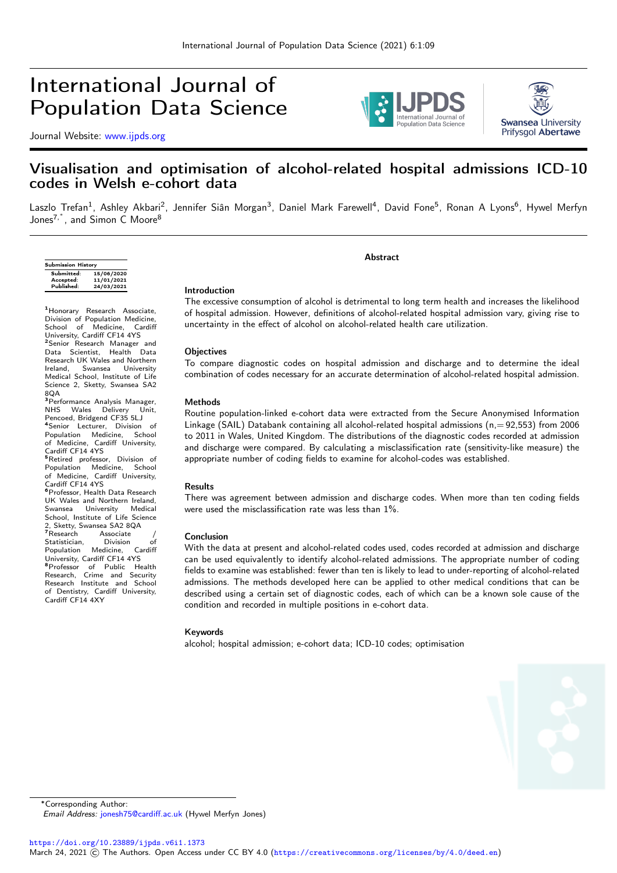# International Journal of Population Data Science

Journal Website: [www.ijpds.org](http://www.ijpds.org)





## Visualisation and optimisation of alcohol-related hospital admissions ICD-10 codes in Welsh e-cohort data

Laszlo Trefan<sup>1</sup>, Ashley Akbari<sup>2</sup>, Jennifer Siân Morgan<sup>3</sup>, Daniel Mark Farewell<sup>4</sup>, David Fone<sup>5</sup>, Ronan A Lyons<sup>6</sup>, Hywel Merfyn Jones<sup>7,\*</sup>, and Simon C Moore<sup>8</sup>

| <b>Submission History</b> |            |  |  |  |  |  |
|---------------------------|------------|--|--|--|--|--|
| Submitted:                | 15/06/2020 |  |  |  |  |  |
| Accepted:                 | 11/01/2021 |  |  |  |  |  |
| Published:                | 24/03/2021 |  |  |  |  |  |
|                           |            |  |  |  |  |  |

Abstract

### Introduction

<sup>1</sup>Honorary Research Associate, Division of Population Medicine, School of Medicine, Cardiff University, Cardiff CF14 4YS<br><sup>2</sup>Senior Research Manager and Data Scientist, Health Data **Research UK Wales and Northern<br>Ireland.** Swansea University Ireland, Swansea University Medical School, Institute of Life Science 2, Sketty, Swansea SA2 8QA <sup>3</sup> Performance Analysis Manager,<br>NHS Wales Delivery Unit. Wales Delivery Unit, Pencoed, Bridgend CF35 5LJ <sup>4</sup>Senior Lecturer, Division of<br>Population Medicine, School of Medicine, Cardiff University,

Cardiff CF14 4YS<br><sup>5</sup>Retired professor, Division of Population Medicine, School of Medicine, Cardiff University, Cardiff CF14 4YS <sup>6</sup>Professor, Health Data Research UK Wales and Northern Ireland,<br>Swansea University Medical University School, Institute of Life Science 2, Sketty, Swansea SA2 8QA<br><sup>7</sup>Research Associate / Statistician, Division of<br>Population Medicine, Cardiff Population University, Cardiff CF14 4YS <sup>8</sup>Professor of Public Health Research, Crime and Security Research Institute and School of Dentistry, Cardiff University, Cardiff CF14 4XY

The excessive consumption of alcohol is detrimental to long term health and increases the likelihood of hospital admission. However, definitions of alcohol-related hospital admission vary, giving rise to uncertainty in the effect of alcohol on alcohol-related health care utilization.

#### **Objectives**

To compare diagnostic codes on hospital admission and discharge and to determine the ideal combination of codes necessary for an accurate determination of alcohol-related hospital admission.

### Methods

Routine population-linked e-cohort data were extracted from the Secure Anonymised Information Linkage (SAIL) Databank containing all alcohol-related hospital admissions ( $n = 92,553$ ) from 2006 to 2011 in Wales, United Kingdom. The distributions of the diagnostic codes recorded at admission and discharge were compared. By calculating a misclassification rate (sensitivity-like measure) the appropriate number of coding fields to examine for alcohol-codes was established.

#### Results

There was agreement between admission and discharge codes. When more than ten coding fields were used the misclassification rate was less than 1%.

#### Conclusion

With the data at present and alcohol-related codes used, codes recorded at admission and discharge can be used equivalently to identify alcohol-related admissions. The appropriate number of coding fields to examine was established: fewer than ten is likely to lead to under-reporting of alcohol-related admissions. The methods developed here can be applied to other medical conditions that can be described using a certain set of diagnostic codes, each of which can be a known sole cause of the condition and recorded in multiple positions in e-cohort data.

#### Keywords

alcohol; hospital admission; e-cohort data; ICD-10 codes; optimisation



<sup>∗</sup>Corresponding Author:

Email Address: [jonesh75@cardiff.ac.uk](mailto:jonesh75@cardiff.ac.uk) (Hywel Merfyn Jones)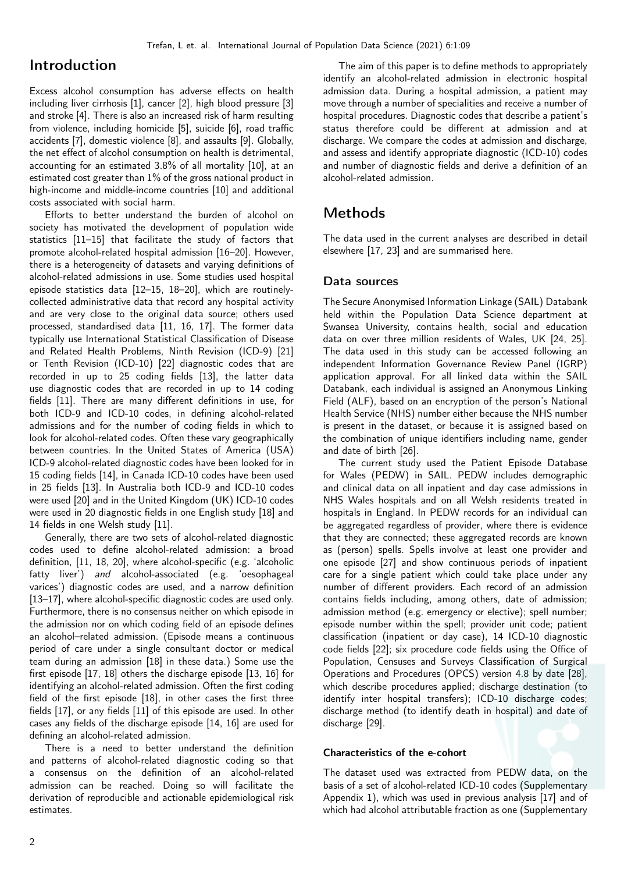## Introduction

Excess alcohol consumption has adverse effects on health including liver cirrhosis [\[1\]](#page-7-0), cancer [\[2\]](#page-7-1), high blood pressure [\[3\]](#page-7-2) and stroke [\[4\]](#page-7-3). There is also an increased risk of harm resulting from violence, including homicide [\[5\]](#page-7-4), suicide [\[6\]](#page-7-5), road traffic accidents [\[7\]](#page-7-6), domestic violence [\[8\]](#page-7-7), and assaults [\[9\]](#page-7-8). Globally, the net effect of alcohol consumption on health is detrimental, accounting for an estimated 3.8% of all mortality [\[10\]](#page-7-9), at an estimated cost greater than 1% of the gross national product in high-income and middle-income countries [\[10\]](#page-7-9) and additional costs associated with social harm.

Efforts to better understand the burden of alcohol on society has motivated the development of population wide statistics [\[11](#page-7-10)[–15\]](#page-7-11) that facilitate the study of factors that promote alcohol-related hospital admission [\[16–](#page-7-12)[20\]](#page-7-13). However, there is a heterogeneity of datasets and varying definitions of alcohol-related admissions in use. Some studies used hospital episode statistics data [\[12–](#page-7-14)[15,](#page-7-11) [18–](#page-7-15)[20\]](#page-7-13), which are routinelycollected administrative data that record any hospital activity and are very close to the original data source; others used processed, standardised data [\[11,](#page-7-10) [16,](#page-7-12) [17\]](#page-7-16). The former data typically use International Statistical Classification of Disease and Related Health Problems, Ninth Revision (ICD-9) [\[21\]](#page-7-17) or Tenth Revision (ICD-10) [\[22\]](#page-7-18) diagnostic codes that are recorded in up to 25 coding fields [\[13\]](#page-7-19), the latter data use diagnostic codes that are recorded in up to 14 coding fields [\[11\]](#page-7-10). There are many different definitions in use, for both ICD-9 and ICD-10 codes, in defining alcohol-related admissions and for the number of coding fields in which to look for alcohol-related codes. Often these vary geographically between countries. In the United States of America (USA) ICD-9 alcohol-related diagnostic codes have been looked for in 15 coding fields [\[14\]](#page-7-20), in Canada ICD-10 codes have been used in 25 fields [\[13\]](#page-7-19). In Australia both ICD-9 and ICD-10 codes were used [\[20\]](#page-7-13) and in the United Kingdom (UK) ICD-10 codes were used in 20 diagnostic fields in one English study [\[18\]](#page-7-15) and 14 fields in one Welsh study [\[11\]](#page-7-10).

Generally, there are two sets of alcohol-related diagnostic codes used to define alcohol-related admission: a broad definition, [\[11,](#page-7-10) [18,](#page-7-15) [20\]](#page-7-13), where alcohol-specific (e.g. 'alcoholic fatty liver') and alcohol-associated (e.g. 'oesophageal varices') diagnostic codes are used, and a narrow definition [\[13](#page-7-19)[–17\]](#page-7-16), where alcohol-specific diagnostic codes are used only. Furthermore, there is no consensus neither on which episode in the admission nor on which coding field of an episode defines an alcohol–related admission. (Episode means a continuous period of care under a single consultant doctor or medical team during an admission [\[18\]](#page-7-15) in these data.) Some use the first episode [\[17,](#page-7-16) [18\]](#page-7-15) others the discharge episode [\[13,](#page-7-19) [16\]](#page-7-12) for identifying an alcohol-related admission. Often the first coding field of the first episode [\[18\]](#page-7-15), in other cases the first three fields [\[17\]](#page-7-16), or any fields [\[11\]](#page-7-10) of this episode are used. In other cases any fields of the discharge episode [\[14,](#page-7-20) [16\]](#page-7-12) are used for defining an alcohol-related admission.

There is a need to better understand the definition and patterns of alcohol-related diagnostic coding so that a consensus on the definition of an alcohol-related admission can be reached. Doing so will facilitate the derivation of reproducible and actionable epidemiological risk estimates.

The aim of this paper is to define methods to appropriately identify an alcohol-related admission in electronic hospital admission data. During a hospital admission, a patient may move through a number of specialities and receive a number of hospital procedures. Diagnostic codes that describe a patient's status therefore could be different at admission and at discharge. We compare the codes at admission and discharge, and assess and identify appropriate diagnostic (ICD-10) codes and number of diagnostic fields and derive a definition of an alcohol-related admission.

## Methods

The data used in the current analyses are described in detail elsewhere [\[17,](#page-7-16) [23\]](#page-8-0) and are summarised here.

### Data sources

The Secure Anonymised Information Linkage (SAIL) Databank held within the Population Data Science department at Swansea University, contains health, social and education data on over three million residents of Wales, UK [\[24,](#page-8-1) [25\]](#page-8-2). The data used in this study can be accessed following an independent Information Governance Review Panel (IGRP) application approval. For all linked data within the SAIL Databank, each individual is assigned an Anonymous Linking Field (ALF), based on an encryption of the person's National Health Service (NHS) number either because the NHS number is present in the dataset, or because it is assigned based on the combination of unique identifiers including name, gender and date of birth [\[26\]](#page-8-3).

The current study used the Patient Episode Database for Wales (PEDW) in SAIL. PEDW includes demographic and clinical data on all inpatient and day case admissions in NHS Wales hospitals and on all Welsh residents treated in hospitals in England. In PEDW records for an individual can be aggregated regardless of provider, where there is evidence that they are connected; these aggregated records are known as (person) spells. Spells involve at least one provider and one episode [\[27\]](#page-8-4) and show continuous periods of inpatient care for a single patient which could take place under any number of different providers. Each record of an admission contains fields including, among others, date of admission; admission method (e.g. emergency or elective); spell number; episode number within the spell; provider unit code; patient classification (inpatient or day case), 14 ICD-10 diagnostic code fields [\[22\]](#page-7-18); six procedure code fields using the Office of Population, Censuses and Surveys Classification of Surgical Operations and Procedures (OPCS) version 4.8 by date [\[28\]](#page-8-5), which describe procedures applied; discharge destination (to identify inter hospital transfers); ICD-10 discharge codes; discharge method (to identify death in hospital) and date of discharge [\[29\]](#page-8-6).

### Characteristics of the e-cohort

The dataset used was extracted from PEDW data, on the basis of a set of alcohol-related ICD-10 codes (Supplementary Appendix 1), which was used in previous analysis [\[17\]](#page-7-16) and of which had alcohol attributable fraction as one (Supplementary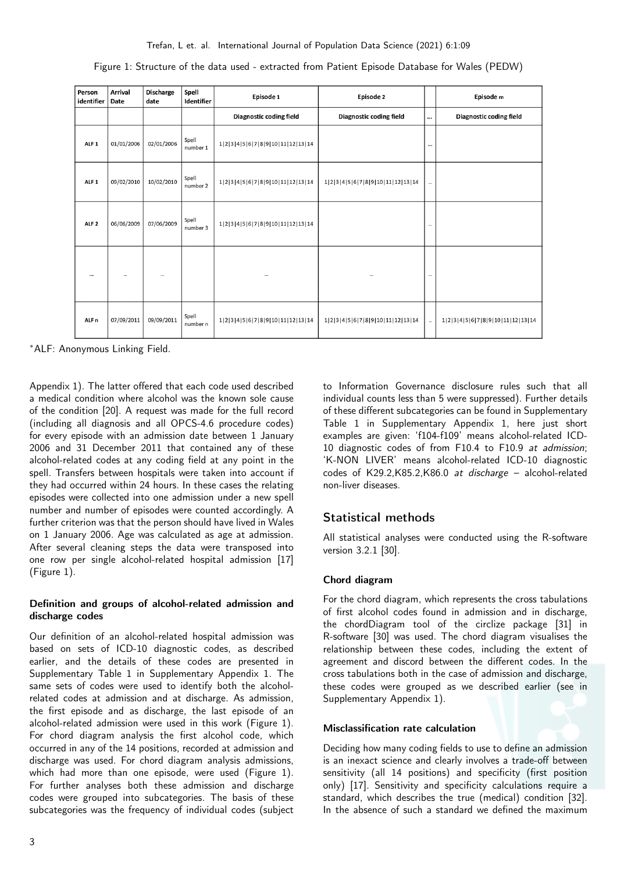| Person<br>identifier | Arrival<br>Date | <b>Discharge</b><br>date | Spell<br>Identifier | Episode 1<br>Episode 2           |                                  |          | Episode m                        |
|----------------------|-----------------|--------------------------|---------------------|----------------------------------|----------------------------------|----------|----------------------------------|
|                      |                 |                          |                     | Diagnostic coding field          | Diagnostic coding field          |          | Diagnostic coding field          |
| ALF <sub>1</sub>     | 01/01/2006      | 02/01/2006               | Spell<br>number 1   | 1 2 3 4 5 6 7 8 9 10 11 12 13 14 |                                  |          |                                  |
| ALF <sub>1</sub>     | 09/02/2010      | 10/02/2010               | Spell<br>number 2   | 1 2 3 4 5 6 7 8 9 10 11 12 13 14 | 1 2 3 4 5 6 7 8 9 10 11 12 13 14 | $\cdots$ |                                  |
| ALF <sub>2</sub>     | 06/06/2009      | 07/06/2009               | Spell<br>number 3   | 1 2 3 4 5 6 7 8 9 10 11 12 13 14 |                                  | $\cdots$ |                                  |
|                      | $\cdots$        | $\cdots$                 |                     | $\cdots$                         |                                  | $\cdots$ |                                  |
| ALF <sub>n</sub>     | 07/09/2011      | 09/09/2011               | Spell<br>number n   | 1 2 3 4 5 6 7 8 9 10 11 12 13 14 | 1 2 3 4 5 6 7 8 9 10 11 12 13 14 | $\ldots$ | 1 2 3 4 5 6 7 8 9 10 11 12 13 14 |

<span id="page-2-0"></span>Figure 1: Structure of the data used - extracted from Patient Episode Database for Wales (PEDW)

<sup>∗</sup>ALF: Anonymous Linking Field.

Appendix 1). The latter offered that each code used described a medical condition where alcohol was the known sole cause of the condition [\[20\]](#page-7-13). A request was made for the full record (including all diagnosis and all OPCS-4.6 procedure codes) for every episode with an admission date between 1 January 2006 and 31 December 2011 that contained any of these alcohol-related codes at any coding field at any point in the spell. Transfers between hospitals were taken into account if they had occurred within 24 hours. In these cases the relating episodes were collected into one admission under a new spell number and number of episodes were counted accordingly. A further criterion was that the person should have lived in Wales on 1 January 2006. Age was calculated as age at admission. After several cleaning steps the data were transposed into one row per single alcohol-related hospital admission [\[17\]](#page-7-16) (Figure [1\)](#page-2-0).

### Definition and groups of alcohol-related admission and discharge codes

Our definition of an alcohol-related hospital admission was based on sets of ICD-10 diagnostic codes, as described earlier, and the details of these codes are presented in Supplementary Table 1 in Supplementary Appendix 1. The same sets of codes were used to identify both the alcoholrelated codes at admission and at discharge. As admission, the first episode and as discharge, the last episode of an alcohol-related admission were used in this work (Figure [1\)](#page-2-0). For chord diagram analysis the first alcohol code, which occurred in any of the 14 positions, recorded at admission and discharge was used. For chord diagram analysis admissions, which had more than one episode, were used (Figure [1\)](#page-2-0). For further analyses both these admission and discharge codes were grouped into subcategories. The basis of these subcategories was the frequency of individual codes (subject

to Information Governance disclosure rules such that all individual counts less than 5 were suppressed). Further details of these different subcategories can be found in Supplementary Table 1 in Supplementary Appendix 1, here just short examples are given: 'f104-f109' means alcohol-related ICD-10 diagnostic codes of from F10.4 to F10.9 at admission; 'K-NON LIVER' means alcohol-related ICD-10 diagnostic codes of K29.2,K85.2,K86.0 at discharge – alcohol-related non-liver diseases.

### Statistical methods

All statistical analyses were conducted using the R-software version 3.2.1 [\[30\]](#page-8-7).

### Chord diagram

For the chord diagram, which represents the cross tabulations of first alcohol codes found in admission and in discharge, the chordDiagram tool of the circlize package [\[31\]](#page-8-8) in R-software [\[30\]](#page-8-7) was used. The chord diagram visualises the relationship between these codes, including the extent of agreement and discord between the different codes. In the cross tabulations both in the case of admission and discharge, these codes were grouped as we described earlier (see in Supplementary Appendix 1).

### Misclassification rate calculation

Deciding how many coding fields to use to define an admission is an inexact science and clearly involves a trade-off between sensitivity (all 14 positions) and specificity (first position only) [\[17\]](#page-7-16). Sensitivity and specificity calculations require a standard, which describes the true (medical) condition [\[32\]](#page-8-9). In the absence of such a standard we defined the maximum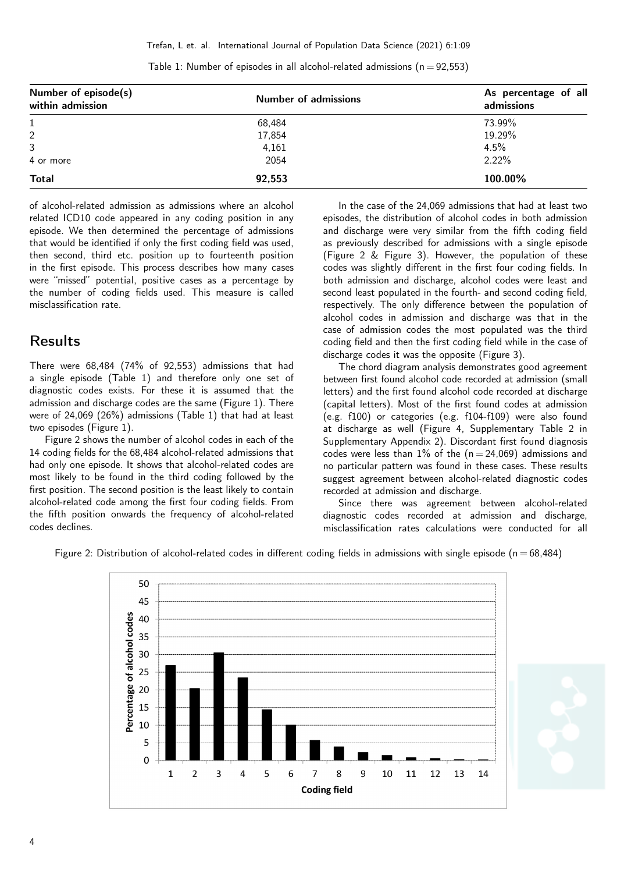| Number of episode(s)<br>within admission | <b>Number of admissions</b> | As percentage of all<br>admissions |  |  |
|------------------------------------------|-----------------------------|------------------------------------|--|--|
|                                          | 68,484                      | 73.99%                             |  |  |
| 2                                        | 17,854                      | 19.29%                             |  |  |
| 3                                        | 4,161                       | 4.5%                               |  |  |
| 4 or more                                | 2054                        | 2.22%                              |  |  |
| <b>Total</b>                             | 92,553                      | 100.00%                            |  |  |

<span id="page-3-0"></span>Table 1: Number of episodes in all alcohol-related admissions ( $n = 92,553$ )

of alcohol-related admission as admissions where an alcohol related ICD10 code appeared in any coding position in any episode. We then determined the percentage of admissions that would be identified if only the first coding field was used, then second, third etc. position up to fourteenth position in the first episode. This process describes how many cases were "missed" potential, positive cases as a percentage by the number of coding fields used. This measure is called misclassification rate.

### Results

There were 68,484 (74% of 92,553) admissions that had a single episode (Table [1\)](#page-3-0) and therefore only one set of diagnostic codes exists. For these it is assumed that the admission and discharge codes are the same (Figure [1\)](#page-2-0). There were of 24,069 (26%) admissions (Table [1\)](#page-3-0) that had at least two episodes (Figure [1\)](#page-2-0).

Figure [2](#page-3-1) shows the number of alcohol codes in each of the 14 coding fields for the 68,484 alcohol-related admissions that had only one episode. It shows that alcohol-related codes are most likely to be found in the third coding followed by the first position. The second position is the least likely to contain alcohol-related code among the first four coding fields. From the fifth position onwards the frequency of alcohol-related codes declines.

In the case of the 24,069 admissions that had at least two episodes, the distribution of alcohol codes in both admission and discharge were very similar from the fifth coding field as previously described for admissions with a single episode (Figure [2](#page-3-1) & Figure [3\)](#page-4-0). However, the population of these codes was slightly different in the first four coding fields. In both admission and discharge, alcohol codes were least and second least populated in the fourth- and second coding field, respectively. The only difference between the population of alcohol codes in admission and discharge was that in the case of admission codes the most populated was the third coding field and then the first coding field while in the case of discharge codes it was the opposite (Figure [3\)](#page-4-0).

The chord diagram analysis demonstrates good agreement between first found alcohol code recorded at admission (small letters) and the first found alcohol code recorded at discharge (capital letters). Most of the first found codes at admission (e.g. f100) or categories (e.g. f104-f109) were also found at discharge as well (Figure [4,](#page-4-1) Supplementary Table 2 in Supplementary Appendix 2). Discordant first found diagnosis codes were less than  $1\%$  of the ( $n = 24,069$ ) admissions and no particular pattern was found in these cases. These results suggest agreement between alcohol-related diagnostic codes recorded at admission and discharge.

Since there was agreement between alcohol-related diagnostic codes recorded at admission and discharge, misclassification rates calculations were conducted for all

<span id="page-3-1"></span>

Figure 2: Distribution of alcohol-related codes in different coding fields in admissions with single episode ( $n = 68,484$ )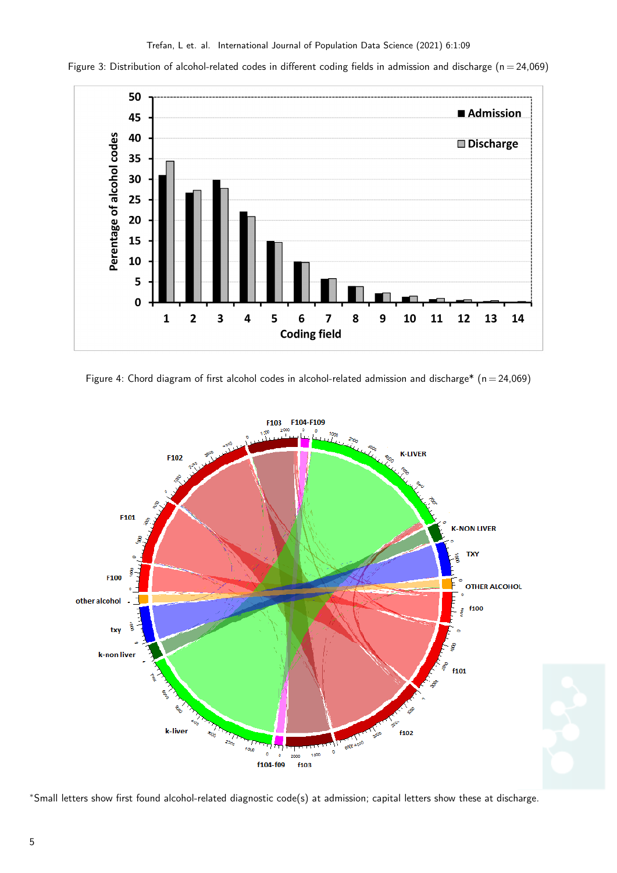<span id="page-4-0"></span>Figure 3: Distribution of alcohol-related codes in different coding fields in admission and discharge ( $n = 24,069$ )



<span id="page-4-1"></span>Figure 4: Chord diagram of first alcohol codes in alcohol-related admission and discharge\* ( $n = 24,069$ )



<sup>∗</sup>Small letters show first found alcohol-related diagnostic code(s) at admission; capital letters show these at discharge.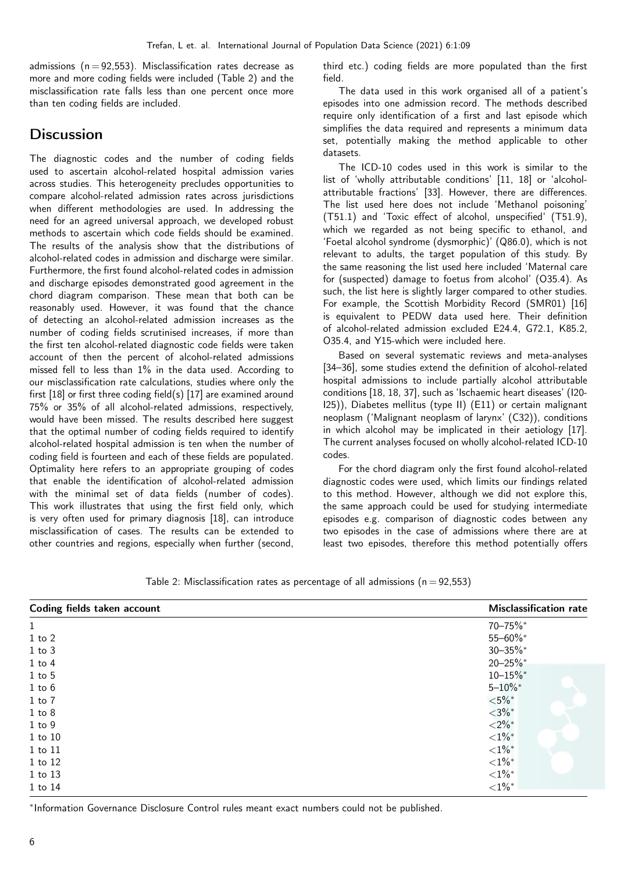admissions ( $n = 92,553$ ). Misclassification rates decrease as more and more coding fields were included (Table [2\)](#page-5-0) and the misclassification rate falls less than one percent once more than ten coding fields are included.

## Discussion

The diagnostic codes and the number of coding fields used to ascertain alcohol-related hospital admission varies across studies. This heterogeneity precludes opportunities to compare alcohol-related admission rates across jurisdictions when different methodologies are used. In addressing the need for an agreed universal approach, we developed robust methods to ascertain which code fields should be examined. The results of the analysis show that the distributions of alcohol-related codes in admission and discharge were similar. Furthermore, the first found alcohol-related codes in admission and discharge episodes demonstrated good agreement in the chord diagram comparison. These mean that both can be reasonably used. However, it was found that the chance of detecting an alcohol-related admission increases as the number of coding fields scrutinised increases, if more than the first ten alcohol-related diagnostic code fields were taken account of then the percent of alcohol-related admissions missed fell to less than 1% in the data used. According to our misclassification rate calculations, studies where only the first [\[18\]](#page-7-15) or first three coding field(s) [\[17\]](#page-7-16) are examined around 75% or 35% of all alcohol-related admissions, respectively, would have been missed. The results described here suggest that the optimal number of coding fields required to identify alcohol-related hospital admission is ten when the number of coding field is fourteen and each of these fields are populated. Optimality here refers to an appropriate grouping of codes that enable the identification of alcohol-related admission with the minimal set of data fields (number of codes). This work illustrates that using the first field only, which is very often used for primary diagnosis [\[18\]](#page-7-15), can introduce misclassification of cases. The results can be extended to other countries and regions, especially when further (second,

third etc.) coding fields are more populated than the first field.

The data used in this work organised all of a patient's episodes into one admission record. The methods described require only identification of a first and last episode which simplifies the data required and represents a minimum data set, potentially making the method applicable to other datasets.

The ICD-10 codes used in this work is similar to the list of 'wholly attributable conditions' [\[11,](#page-7-10) [18\]](#page-7-15) or 'alcoholattributable fractions' [\[33\]](#page-8-10). However, there are differences. The list used here does not include 'Methanol poisoning' (T51.1) and 'Toxic effect of alcohol, unspecified' (T51.9), which we regarded as not being specific to ethanol, and 'Foetal alcohol syndrome (dysmorphic)' (Q86.0), which is not relevant to adults, the target population of this study. By the same reasoning the list used here included 'Maternal care for (suspected) damage to foetus from alcohol' (O35.4). As such, the list here is slightly larger compared to other studies. For example, the Scottish Morbidity Record (SMR01) [\[16\]](#page-7-12) is equivalent to PEDW data used here. Their definition of alcohol-related admission excluded E24.4, G72.1, K85.2, O35.4, and Y15-which were included here.

Based on several systematic reviews and meta-analyses [\[34–](#page-8-11)[36\]](#page-8-12), some studies extend the definition of alcohol-related hospital admissions to include partially alcohol attributable conditions [\[18,](#page-7-15) [18,](#page-7-15) [37\]](#page-8-13), such as 'Ischaemic heart diseases' (I20- I25)), Diabetes mellitus (type II) (E11) or certain malignant neoplasm ('Malignant neoplasm of larynx' (C32)), conditions in which alcohol may be implicated in their aetiology [\[17\]](#page-7-16). The current analyses focused on wholly alcohol-related ICD-10 codes.

For the chord diagram only the first found alcohol-related diagnostic codes were used, which limits our findings related to this method. However, although we did not explore this, the same approach could be used for studying intermediate episodes e.g. comparison of diagnostic codes between any two episodes in the case of admissions where there are at least two episodes, therefore this method potentially offers

| Coding fields taken account | <b>Misclassification rate</b> |
|-----------------------------|-------------------------------|
| $\mathbf{1}$                | 70-75%*                       |
| $1$ to $2$                  | 55-60%*                       |
| $1$ to $3$                  | $30 - 35\%$ *                 |
| $1$ to $4$                  | $20 - 25\%$ *                 |
| $1$ to $5$                  | $10 - 15\%$ *                 |
| $1$ to $6$                  | $5 - 10\%$ *                  |
| $1$ to $7$                  | ${<}5\%$ *                    |
| $1$ to $8$                  | ${<}3\%*$                     |
| $1$ to $9$                  | ${<}2\%$ *                    |
| 1 to 10                     | ${<}1\%$                      |
| 1 to 11                     | ${<}1\%$ *                    |
| 1 to 12                     | ${<}1\%$ *                    |
| 1 to 13                     | ${<}1\%^*$                    |
| 1 to 14                     | ${<}1\%^*$                    |

<span id="page-5-0"></span>Table 2: Misclassification rates as percentage of all admissions ( $n = 92,553$ )

∗ Information Governance Disclosure Control rules meant exact numbers could not be published.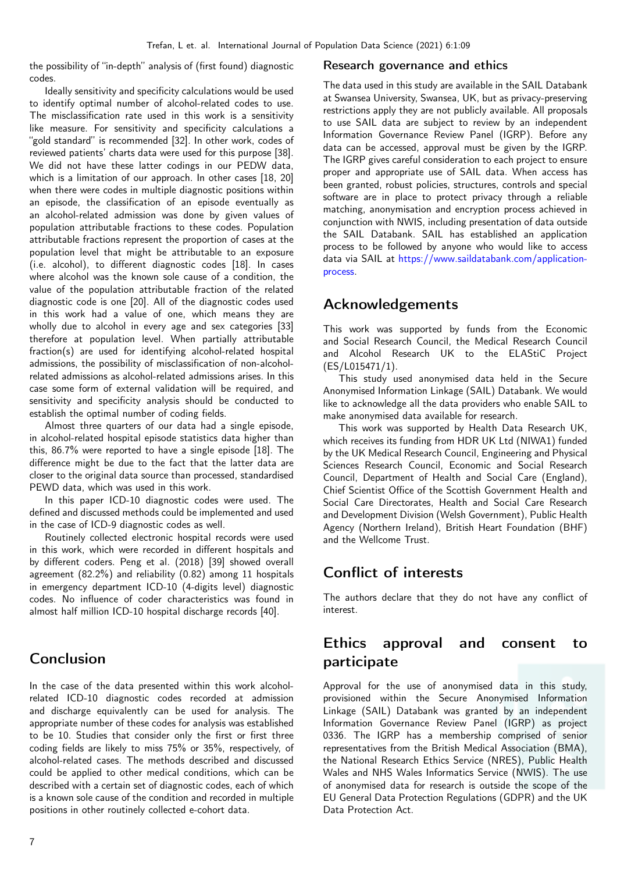the possibility of "in-depth" analysis of (first found) diagnostic codes.

Ideally sensitivity and specificity calculations would be used to identify optimal number of alcohol-related codes to use. The misclassification rate used in this work is a sensitivity like measure. For sensitivity and specificity calculations a "gold standard" is recommended [\[32\]](#page-8-9). In other work, codes of reviewed patients' charts data were used for this purpose [\[38\]](#page-8-14). We did not have these latter codings in our PEDW data, which is a limitation of our approach. In other cases [\[18,](#page-7-15) [20\]](#page-7-13) when there were codes in multiple diagnostic positions within an episode, the classification of an episode eventually as an alcohol-related admission was done by given values of population attributable fractions to these codes. Population attributable fractions represent the proportion of cases at the population level that might be attributable to an exposure (i.e. alcohol), to different diagnostic codes [\[18\]](#page-7-15). In cases where alcohol was the known sole cause of a condition, the value of the population attributable fraction of the related diagnostic code is one [\[20\]](#page-7-13). All of the diagnostic codes used in this work had a value of one, which means they are wholly due to alcohol in every age and sex categories [\[33\]](#page-8-10) therefore at population level. When partially attributable fraction(s) are used for identifying alcohol-related hospital admissions, the possibility of misclassification of non-alcoholrelated admissions as alcohol-related admissions arises. In this case some form of external validation will be required, and sensitivity and specificity analysis should be conducted to establish the optimal number of coding fields.

Almost three quarters of our data had a single episode, in alcohol-related hospital episode statistics data higher than this, 86.7% were reported to have a single episode [\[18\]](#page-7-15). The difference might be due to the fact that the latter data are closer to the original data source than processed, standardised PEWD data, which was used in this work.

In this paper ICD-10 diagnostic codes were used. The defined and discussed methods could be implemented and used in the case of ICD-9 diagnostic codes as well.

Routinely collected electronic hospital records were used in this work, which were recorded in different hospitals and by different coders. Peng et al. (2018) [\[39\]](#page-8-15) showed overall agreement (82.2%) and reliability (0.82) among 11 hospitals in emergency department ICD-10 (4-digits level) diagnostic codes. No influence of coder characteristics was found in almost half million ICD-10 hospital discharge records [\[40\]](#page-8-16).

## Conclusion

In the case of the data presented within this work alcoholrelated ICD-10 diagnostic codes recorded at admission and discharge equivalently can be used for analysis. The appropriate number of these codes for analysis was established to be 10. Studies that consider only the first or first three coding fields are likely to miss 75% or 35%, respectively, of alcohol-related cases. The methods described and discussed could be applied to other medical conditions, which can be described with a certain set of diagnostic codes, each of which is a known sole cause of the condition and recorded in multiple positions in other routinely collected e-cohort data.

### Research governance and ethics

The data used in this study are available in the SAIL Databank at Swansea University, Swansea, UK, but as privacy-preserving restrictions apply they are not publicly available. All proposals to use SAIL data are subject to review by an independent Information Governance Review Panel (IGRP). Before any data can be accessed, approval must be given by the IGRP. The IGRP gives careful consideration to each project to ensure proper and appropriate use of SAIL data. When access has been granted, robust policies, structures, controls and special software are in place to protect privacy through a reliable matching, anonymisation and encryption process achieved in conjunction with NWIS, including presentation of data outside the SAIL Databank. SAIL has established an application process to be followed by anyone who would like to access data via SAIL at [https://www.saildatabank.com/application](https://www.saildatabank.com/application-process)[process.](https://www.saildatabank.com/application-process)

## Acknowledgements

This work was supported by funds from the Economic and Social Research Council, the Medical Research Council and Alcohol Research UK to the ELAStiC Project (ES/L015471/1).

This study used anonymised data held in the Secure Anonymised Information Linkage (SAIL) Databank. We would like to acknowledge all the data providers who enable SAIL to make anonymised data available for research.

This work was supported by Health Data Research UK, which receives its funding from HDR UK Ltd (NIWA1) funded by the UK Medical Research Council, Engineering and Physical Sciences Research Council, Economic and Social Research Council, Department of Health and Social Care (England), Chief Scientist Office of the Scottish Government Health and Social Care Directorates, Health and Social Care Research and Development Division (Welsh Government), Public Health Agency (Northern Ireland), British Heart Foundation (BHF) and the Wellcome Trust.

## Conflict of interests

The authors declare that they do not have any conflict of interest.

## Ethics approval and consent to participate

Approval for the use of anonymised data in this study, provisioned within the Secure Anonymised Information Linkage (SAIL) Databank was granted by an independent Information Governance Review Panel (IGRP) as project 0336. The IGRP has a membership comprised of senior representatives from the British Medical Association (BMA), the National Research Ethics Service (NRES), Public Health Wales and NHS Wales Informatics Service (NWIS). The use of anonymised data for research is outside the scope of the EU General Data Protection Regulations (GDPR) and the UK Data Protection Act.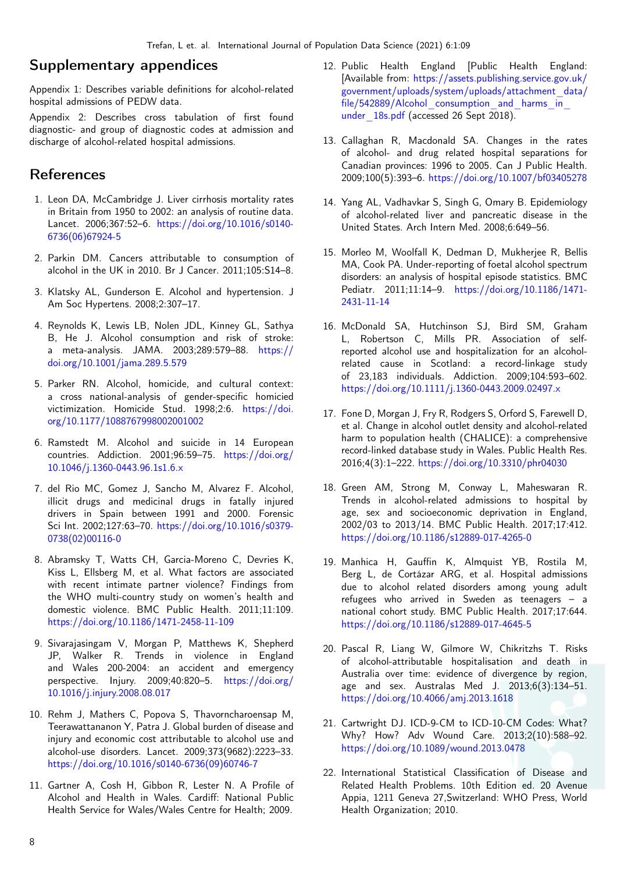### Supplementary appendices

Appendix 1: Describes variable definitions for alcohol-related hospital admissions of PEDW data.

Appendix 2: Describes cross tabulation of first found diagnostic- and group of diagnostic codes at admission and discharge of alcohol-related hospital admissions.

### References

- <span id="page-7-0"></span>1. Leon DA, McCambridge J. Liver cirrhosis mortality rates in Britain from 1950 to 2002: an analysis of routine data. Lancet. 2006;367:52–6. [https://doi.org/10.1016/s0140-](https://doi.org/10.1016/s0140-6736(06)67924-5) [6736\(06\)67924-5](https://doi.org/10.1016/s0140-6736(06)67924-5)
- <span id="page-7-1"></span>2. Parkin DM. Cancers attributable to consumption of alcohol in the UK in 2010. Br J Cancer. 2011;105:S14–8.
- <span id="page-7-2"></span>3. Klatsky AL, Gunderson E. Alcohol and hypertension. J Am Soc Hypertens. 2008;2:307–17.
- <span id="page-7-3"></span>4. Reynolds K, Lewis LB, Nolen JDL, Kinney GL, Sathya B, He J. Alcohol consumption and risk of stroke: a meta-analysis. JAMA. 2003;289:579–88. [https://](https://doi.org/10.1001/jama.289.5.579) [doi.org/10.1001/jama.289.5.579](https://doi.org/10.1001/jama.289.5.579)
- <span id="page-7-4"></span>5. Parker RN. Alcohol, homicide, and cultural context: a cross national-analysis of gender-specific homicied victimization. Homicide Stud. 1998;2:6. [https://doi.](https://doi.org/10.1177/1088767998002001002) [org/10.1177/1088767998002001002](https://doi.org/10.1177/1088767998002001002)
- <span id="page-7-5"></span>6. Ramstedt M. Alcohol and suicide in 14 European countries. Addiction. 2001;96:59–75. [https://doi.org/](https://doi.org/10.1046/j.1360-0443.96.1s1.6.x) [10.1046/j.1360-0443.96.1s1.6.x](https://doi.org/10.1046/j.1360-0443.96.1s1.6.x)
- <span id="page-7-6"></span>7. del Rio MC, Gomez J, Sancho M, Alvarez F. Alcohol, illicit drugs and medicinal drugs in fatally injured drivers in Spain between 1991 and 2000. Forensic Sci Int. 2002;127:63–70. [https://doi.org/10.1016/s0379-](https://doi.org/10.1016/s0379-0738(02)00116-0) [0738\(02\)00116-0](https://doi.org/10.1016/s0379-0738(02)00116-0)
- <span id="page-7-7"></span>8. Abramsky T, Watts CH, Garcia-Moreno C, Devries K, Kiss L, Ellsberg M, et al. What factors are associated with recent intimate partner violence? Findings from the WHO multi-country study on women's health and domestic violence. BMC Public Health. 2011;11:109. <https://doi.org/10.1186/1471-2458-11-109>
- <span id="page-7-8"></span>9. Sivarajasingam V, Morgan P, Matthews K, Shepherd JP, Walker R. Trends in violence in England and Wales 200-2004: an accident and emergency perspective. Injury. 2009;40:820–5. [https://doi.org/](https://doi.org/10.1016/j.injury.2008.08.017) [10.1016/j.injury.2008.08.017](https://doi.org/10.1016/j.injury.2008.08.017)
- <span id="page-7-9"></span>10. Rehm J, Mathers C, Popova S, Thavorncharoensap M, Teerawattananon Y, Patra J. Global burden of disease and injury and economic cost attributable to alcohol use and alcohol-use disorders. Lancet. 2009;373(9682):2223–33. [https://doi.org/10.1016/s0140-6736\(09\)60746-7](https://doi.org/10.1016/s0140-6736(09)60746-7)
- <span id="page-7-10"></span>11. Gartner A, Cosh H, Gibbon R, Lester N. A Profile of Alcohol and Health in Wales. Cardiff: National Public Health Service for Wales/Wales Centre for Health; 2009.
- <span id="page-7-14"></span>12. Public Health England [Public Health England: [Available from: [https://assets.publishing.service.gov.uk/](https://assets.publishing.service.gov.uk/government/uploads/system/uploads/attachment_data/file/542889/Alcohol_consumption_and_harms_in_under_18s.pdf) [government/uploads/system/uploads/attachment\\_data/](https://assets.publishing.service.gov.uk/government/uploads/system/uploads/attachment_data/file/542889/Alcohol_consumption_and_harms_in_under_18s.pdf)  $file/542889/Alcohol$  consumption and harms in under 18s.pdf (accessed 26 Sept 2018).
- <span id="page-7-19"></span>13. Callaghan R, Macdonald SA. Changes in the rates of alcohol- and drug related hospital separations for Canadian provinces: 1996 to 2005. Can J Public Health. 2009;100(5):393–6. <https://doi.org/10.1007/bf03405278>
- <span id="page-7-20"></span>14. Yang AL, Vadhavkar S, Singh G, Omary B. Epidemiology of alcohol-related liver and pancreatic disease in the United States. Arch Intern Med. 2008;6:649–56.
- <span id="page-7-11"></span>15. Morleo M, Woolfall K, Dedman D, Mukherjee R, Bellis MA, Cook PA. Under-reporting of foetal alcohol spectrum disorders: an analysis of hospital episode statistics. BMC Pediatr. 2011;11:14–9. [https://doi.org/10.1186/1471-](https://doi.org/10.1186/1471-2431-11-14) [2431-11-14](https://doi.org/10.1186/1471-2431-11-14)
- <span id="page-7-12"></span>16. McDonald SA, Hutchinson SJ, Bird SM, Graham L, Robertson C, Mills PR. Association of selfreported alcohol use and hospitalization for an alcoholrelated cause in Scotland: a record-linkage study of 23,183 individuals. Addiction. 2009;104:593–602. <https://doi.org/10.1111/j.1360-0443.2009.02497.x>
- <span id="page-7-16"></span>17. Fone D, Morgan J, Fry R, Rodgers S, Orford S, Farewell D, et al. Change in alcohol outlet density and alcohol-related harm to population health (CHALICE): a comprehensive record-linked database study in Wales. Public Health Res. 2016;4(3):1–222. <https://doi.org/10.3310/phr04030>
- <span id="page-7-15"></span>18. Green AM, Strong M, Conway L, Maheswaran R. Trends in alcohol-related admissions to hospital by age, sex and socioeconomic deprivation in England, 2002/03 to 2013/14. BMC Public Health. 2017;17:412. <https://doi.org/10.1186/s12889-017-4265-0>
- 19. Manhica H, Gauffin K, Almquist YB, Rostila M, Berg L, de Cortázar ARG, et al. Hospital admissions due to alcohol related disorders among young adult refugees who arrived in Sweden as teenagers – a national cohort study. BMC Public Health. 2017;17:644. <https://doi.org/10.1186/s12889-017-4645-5>
- <span id="page-7-13"></span>20. Pascal R, Liang W, Gilmore W, Chikritzhs T. Risks of alcohol-attributable hospitalisation and death in Australia over time: evidence of divergence by region, age and sex. Australas Med J. 2013;6(3):134–51. <https://doi.org/10.4066/amj.2013.1618>
- <span id="page-7-17"></span>21. Cartwright DJ. ICD-9-CM to ICD-10-CM Codes: What? Why? How? Adv Wound Care. 2013;2(10):588–92. <https://doi.org/10.1089/wound.2013.0478>
- <span id="page-7-18"></span>22. International Statistical Classification of Disease and Related Health Problems. 10th Edition ed. 20 Avenue Appia, 1211 Geneva 27,Switzerland: WHO Press, World Health Organization; 2010.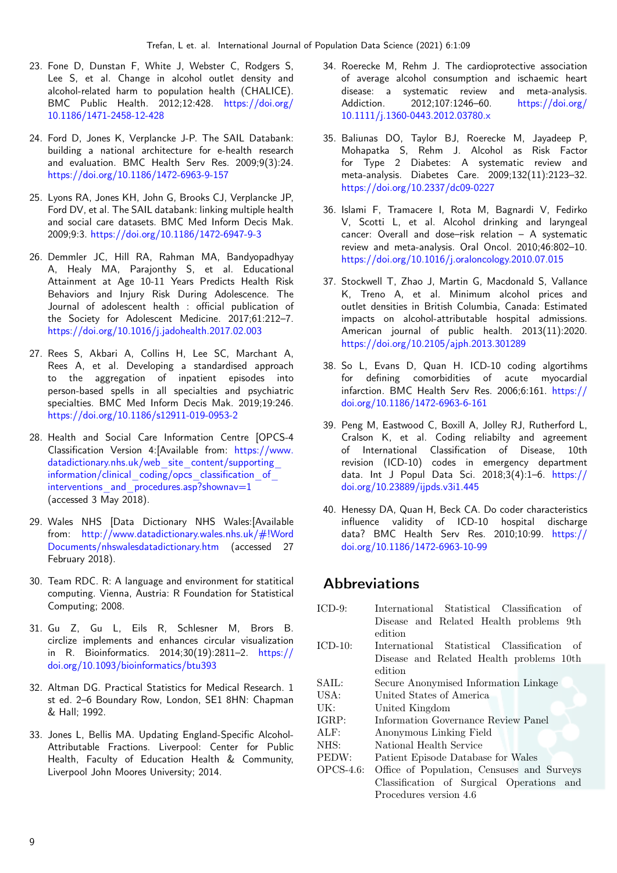- <span id="page-8-0"></span>23. Fone D, Dunstan F, White J, Webster C, Rodgers S, Lee S, et al. Change in alcohol outlet density and alcohol-related harm to population health (CHALICE). BMC Public Health. 2012;12:428. [https://doi.org/](https://doi.org/10.1186/1471-2458-12-428) [10.1186/1471-2458-12-428](https://doi.org/10.1186/1471-2458-12-428)
- <span id="page-8-1"></span>24. Ford D, Jones K, Verplancke J-P. The SAIL Databank: building a national architecture for e-health research and evaluation. BMC Health Serv Res. 2009;9(3):24. <https://doi.org/10.1186/1472-6963-9-157>
- <span id="page-8-2"></span>25. Lyons RA, Jones KH, John G, Brooks CJ, Verplancke JP, Ford DV, et al. The SAIL databank: linking multiple health and social care datasets. BMC Med Inform Decis Mak. 2009;9:3. <https://doi.org/10.1186/1472-6947-9-3>
- <span id="page-8-3"></span>26. Demmler JC, Hill RA, Rahman MA, Bandyopadhyay A, Healy MA, Parajonthy S, et al. Educational Attainment at Age 10-11 Years Predicts Health Risk Behaviors and Injury Risk During Adolescence. The Journal of adolescent health : official publication of the Society for Adolescent Medicine. 2017;61:212–7. <https://doi.org/10.1016/j.jadohealth.2017.02.003>
- <span id="page-8-4"></span>27. Rees S, Akbari A, Collins H, Lee SC, Marchant A, Rees A, et al. Developing a standardised approach to the aggregation of inpatient episodes into person-based spells in all specialties and psychiatric specialties. BMC Med Inform Decis Mak. 2019;19:246. <https://doi.org/10.1186/s12911-019-0953-2>
- <span id="page-8-5"></span>28. Health and Social Care Information Centre [OPCS-4 Classification Version 4:[Available from: [https://www.](https://www.datadictionary.nhs.uk/web_site_content/supporting_information/clinical_coding/opcs_classification_of_interventions_and_procedures.asp?shownav=1) datadictionary.nhs.uk/web site content/supporting information/clinical coding/opcs classification of interventions and procedures.asp?shownav=1 (accessed 3  $\overline{M}$ ay 2018).
- <span id="page-8-6"></span>29. Wales NHS [Data Dictionary NHS Wales:[Available from: [http://www.datadictionary.wales.nhs.uk/#!Word](http://www.datadictionary.wales.nhs.uk/#!WordDocuments/nhswalesdatadictionary.htm) [Documents/nhswalesdatadictionary.htm](http://www.datadictionary.wales.nhs.uk/#!WordDocuments/nhswalesdatadictionary.htm) (accessed 27 February 2018).
- <span id="page-8-7"></span>30. Team RDC. R: A language and environment for statitical computing. Vienna, Austria: R Foundation for Statistical Computing; 2008.
- <span id="page-8-8"></span>31. Gu Z, Gu L, Eils R, Schlesner M, Brors B. circlize implements and enhances circular visualization in R. Bioinformatics. 2014;30(19):2811–2. [https://](https://doi.org/10.1093/bioinformatics/btu393) [doi.org/10.1093/bioinformatics/btu393](https://doi.org/10.1093/bioinformatics/btu393)
- <span id="page-8-9"></span>32. Altman DG. Practical Statistics for Medical Research. 1 st ed. 2–6 Boundary Row, London, SE1 8HN: Chapman & Hall; 1992.
- <span id="page-8-10"></span>33. Jones L, Bellis MA. Updating England-Specific Alcohol-Attributable Fractions. Liverpool: Center for Public Health, Faculty of Education Health & Community, Liverpool John Moores University; 2014.
- <span id="page-8-11"></span>34. Roerecke M, Rehm J. The cardioprotective association of average alcohol consumption and ischaemic heart disease: a systematic review and meta-analysis. Addiction. 2012;107:1246–60. [https://doi.org/](https://doi.org/10.1111/j.1360-0443.2012.03780.x) [10.1111/j.1360-0443.2012.03780.x](https://doi.org/10.1111/j.1360-0443.2012.03780.x)
- 35. Baliunas DO, Taylor BJ, Roerecke M, Jayadeep P, Mohapatka S, Rehm J. Alcohol as Risk Factor for Type 2 Diabetes: A systematic review and meta-analysis. Diabetes Care. 2009;132(11):2123–32. <https://doi.org/10.2337/dc09-0227>
- <span id="page-8-12"></span>36. Islami F, Tramacere I, Rota M, Bagnardi V, Fedirko V, Scotti L, et al. Alcohol drinking and laryngeal cancer: Overall and dose–risk relation – A systematic review and meta-analysis. Oral Oncol. 2010;46:802–10. <https://doi.org/10.1016/j.oraloncology.2010.07.015>
- <span id="page-8-13"></span>37. Stockwell T, Zhao J, Martin G, Macdonald S, Vallance K, Treno A, et al. Minimum alcohol prices and outlet densities in British Columbia, Canada: Estimated impacts on alcohol-attributable hospital admissions. American journal of public health. 2013(11):2020. <https://doi.org/10.2105/ajph.2013.301289>
- <span id="page-8-14"></span>38. So L, Evans D, Quan H. ICD-10 coding algortihms for defining comorbidities of acute myocardial infarction. BMC Health Serv Res. 2006;6:161. [https://](https://doi.org/10.1186/1472-6963-6-161) [doi.org/10.1186/1472-6963-6-161](https://doi.org/10.1186/1472-6963-6-161)
- <span id="page-8-15"></span>39. Peng M, Eastwood C, Boxill A, Jolley RJ, Rutherford L, Cralson K, et al. Coding reliabilty and agreement of International Classification of Disease, 10th revision (ICD-10) codes in emergency department data. Int J Popul Data Sci. 2018;3(4):1–6. [https://](https://doi.org/10.23889/ijpds.v3i1.445) [doi.org/10.23889/ijpds.v3i1.445](https://doi.org/10.23889/ijpds.v3i1.445)
- <span id="page-8-16"></span>40. Henessy DA, Quan H, Beck CA. Do coder characteristics influence validity of ICD-10 hospital discharge data? BMC Health Serv Res. 2010;10:99. [https://](https://doi.org/10.1186/1472-6963-10-99) [doi.org/10.1186/1472-6963-10-99](https://doi.org/10.1186/1472-6963-10-99)

### Abbreviations

| $ICD-9:$     | International Statistical Classification<br>– of |
|--------------|--------------------------------------------------|
|              | Disease and Related Health problems 9th          |
|              | edition                                          |
| $ICD-10:$    | International Statistical Classification of      |
|              | Disease and Related Health problems 10th         |
|              | edition                                          |
| SAIL:        | Secure Anonymised Information Linkage            |
| USA:         | United States of America                         |
| UK:          | United Kingdom                                   |
| IGRP:        | Information Governance Review Panel              |
| ALF:         | Anonymous Linking Field                          |
| NHS:         | National Health Service                          |
| PEDW:        | Patient Episode Database for Wales               |
| $OPCS-4.6$ : | Office of Population, Censuses and Surveys       |
|              | Classification of Surgical Operations and        |
|              | Procedures version 4.6                           |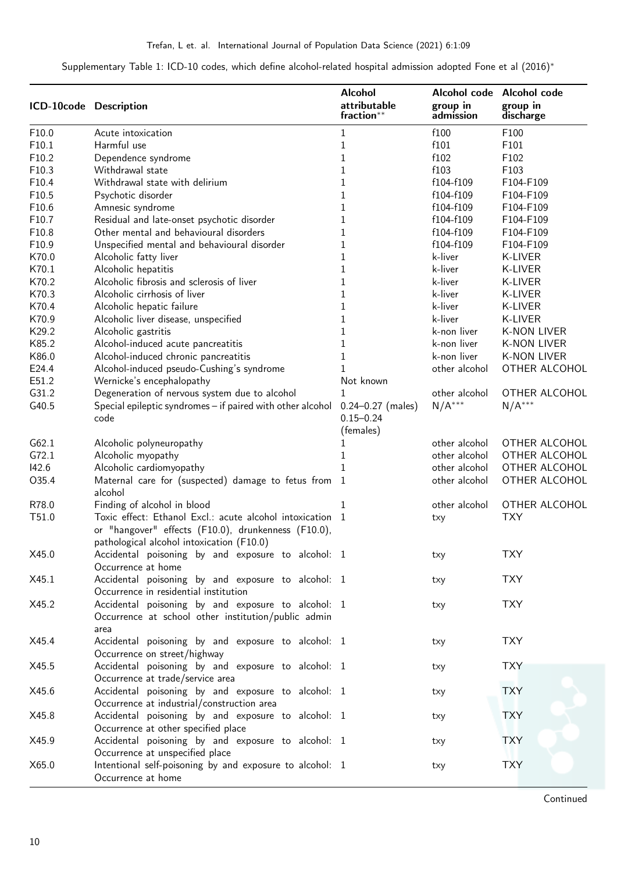Supplementary Table 1: ICD-10 codes, which define alcohol-related hospital admission adopted Fone et al (2016)<sup>∗</sup>

| ICD-10code Description |                                                                                                                   | <b>Alcohol</b><br>attributable<br>fraction**        | group in<br>admission | Alcohol code Alcohol code<br>group in<br>discharge |
|------------------------|-------------------------------------------------------------------------------------------------------------------|-----------------------------------------------------|-----------------------|----------------------------------------------------|
| F10.0                  | Acute intoxication                                                                                                | $\mathbf{1}$                                        | f100                  | F100                                               |
| F10.1                  | Harmful use                                                                                                       | $\mathbf 1$                                         | f101                  | F101                                               |
| F10.2                  | Dependence syndrome                                                                                               | $\mathbf 1$                                         | f102                  | F102                                               |
| F10.3                  | Withdrawal state                                                                                                  | $\mathbf{1}$                                        | f103                  | F103                                               |
| F10.4                  | Withdrawal state with delirium                                                                                    | $\mathbf 1$                                         | f104-f109             | F104-F109                                          |
| F10.5                  | Psychotic disorder                                                                                                | $\mathbf{1}$                                        | f104-f109             | F104-F109                                          |
| F10.6                  | Amnesic syndrome                                                                                                  | $\mathbf 1$                                         | f104-f109             | F104-F109                                          |
| F10.7                  | Residual and late-onset psychotic disorder                                                                        | $\mathbf 1$                                         | f104-f109             | F104-F109                                          |
| F10.8                  | Other mental and behavioural disorders                                                                            | $\mathbf 1$                                         | f104-f109             | F104-F109                                          |
| F10.9                  | Unspecified mental and behavioural disorder                                                                       | $\mathbf 1$                                         | f104-f109             | F104-F109                                          |
| K70.0                  | Alcoholic fatty liver                                                                                             | $\mathbf{1}$                                        | k-liver               | K-LIVER                                            |
| K70.1                  | Alcoholic hepatitis                                                                                               | $\mathbf{1}$                                        | k-liver               | K-LIVER                                            |
| K70.2                  | Alcoholic fibrosis and sclerosis of liver                                                                         | $\mathbf 1$                                         | k-liver               | K-LIVER                                            |
| K70.3                  | Alcoholic cirrhosis of liver                                                                                      | $\mathbf{1}$                                        | k-liver               | K-LIVER                                            |
|                        |                                                                                                                   | $\mathbf{1}$                                        | k-liver               | K-LIVER                                            |
| K70.4                  | Alcoholic hepatic failure                                                                                         |                                                     |                       |                                                    |
| K70.9                  | Alcoholic liver disease, unspecified                                                                              | $\mathbf 1$                                         | k-liver               | K-LIVER                                            |
| K29.2                  | Alcoholic gastritis                                                                                               | $\mathbf{1}$                                        | k-non liver           | <b>K-NON LIVER</b>                                 |
| K85.2                  | Alcohol-induced acute pancreatitis                                                                                | $\mathbf 1$                                         | k-non liver           | <b>K-NON LIVER</b>                                 |
| K86.0                  | Alcohol-induced chronic pancreatitis                                                                              | $\mathbf 1$                                         | k-non liver           | <b>K-NON LIVER</b>                                 |
| E24.4                  | Alcohol-induced pseudo-Cushing's syndrome                                                                         | 1                                                   | other alcohol         | OTHER ALCOHOL                                      |
| E51.2                  | Wernicke's encephalopathy                                                                                         | Not known                                           |                       |                                                    |
| G31.2                  | Degeneration of nervous system due to alcohol                                                                     | 1                                                   | other alcohol         | OTHER ALCOHOL                                      |
| G40.5                  | Special epileptic syndromes - if paired with other alcohol<br>code                                                | $0.24 - 0.27$ (males)<br>$0.15 - 0.24$<br>(females) | $N/A***$              | $N/A***$                                           |
| G62.1                  | Alcoholic polyneuropathy                                                                                          | 1                                                   | other alcohol         | OTHER ALCOHOL                                      |
| G72.1                  | Alcoholic myopathy                                                                                                | 1                                                   | other alcohol         | OTHER ALCOHOL                                      |
| 142.6                  | Alcoholic cardiomyopathy                                                                                          | 1                                                   | other alcohol         | OTHER ALCOHOL                                      |
| O35.4                  | Maternal care for (suspected) damage to fetus from 1                                                              |                                                     | other alcohol         | OTHER ALCOHOL                                      |
|                        | alcohol                                                                                                           |                                                     |                       |                                                    |
| R78.0                  | Finding of alcohol in blood                                                                                       | 1                                                   | other alcohol         | <b>OTHER ALCOHOL</b>                               |
| T51.0                  | Toxic effect: Ethanol Excl.: acute alcohol intoxication 1<br>or "hangover" effects (F10.0), drunkenness (F10.0),  |                                                     | txy                   | <b>TXY</b>                                         |
|                        | pathological alcohol intoxication (F10.0)                                                                         |                                                     |                       |                                                    |
| X45.0                  | Accidental poisoning by and exposure to alcohol: 1<br>Occurrence at home                                          |                                                     | txy                   | <b>TXY</b>                                         |
| X45.1                  | Accidental poisoning by and exposure to alcohol: 1<br>Occurrence in residential institution                       |                                                     | txy                   | <b>TXY</b>                                         |
| X45.2                  | Accidental poisoning by and exposure to alcohol: 1<br>Occurrence at school other institution/public admin         |                                                     | txy                   | <b>TXY</b>                                         |
|                        | area                                                                                                              |                                                     |                       |                                                    |
| X45.4                  | Accidental poisoning by and exposure to alcohol: 1<br>Occurrence on street/highway                                |                                                     | txy                   | <b>TXY</b>                                         |
| X45.5                  | Accidental poisoning by and exposure to alcohol: 1<br>Occurrence at trade/service area                            |                                                     | txy                   | <b>TXY</b>                                         |
| X45.6                  | Accidental poisoning by and exposure to alcohol: 1                                                                |                                                     | txy                   | <b>TXY</b>                                         |
| X45.8                  | Occurrence at industrial/construction area<br>Accidental poisoning by and exposure to alcohol: 1                  |                                                     | txy                   | <b>TXY</b>                                         |
| X45.9                  | Occurrence at other specified place<br>Accidental poisoning by and exposure to alcohol: 1                         |                                                     | txy                   | <b>TXY</b>                                         |
| X65.0                  | Occurrence at unspecified place<br>Intentional self-poisoning by and exposure to alcohol: 1<br>Occurrence at home |                                                     | txy                   | <b>TXY</b>                                         |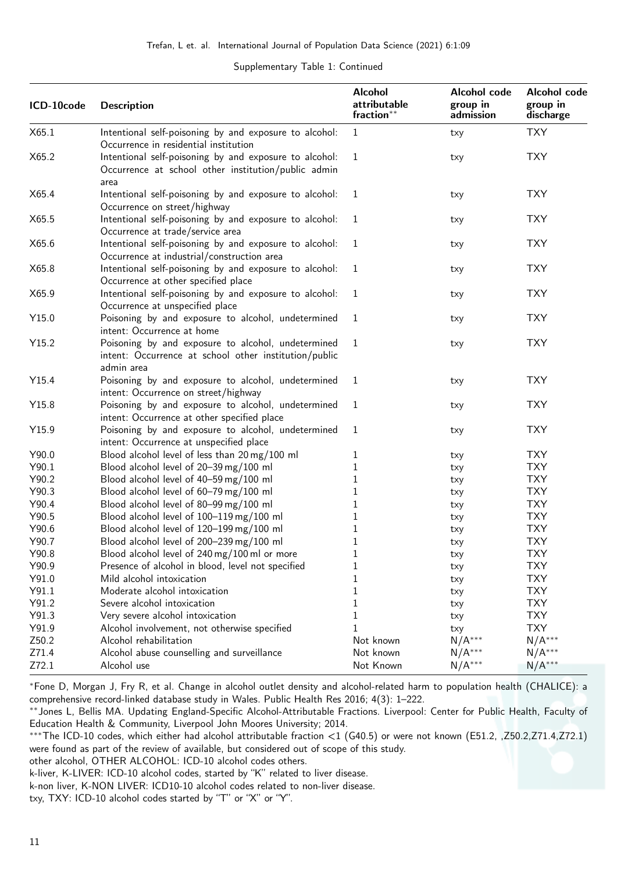### Supplementary Table 1: Continued

| ICD-10code | <b>Description</b>                                                                                                        | <b>Alcohol</b><br>attributable<br>fraction** | Alcohol code<br>group in<br>admission | Alcohol code<br>group in<br>discharge |  |
|------------|---------------------------------------------------------------------------------------------------------------------------|----------------------------------------------|---------------------------------------|---------------------------------------|--|
| X65.1      | Intentional self-poisoning by and exposure to alcohol:<br>Occurrence in residential institution                           | $\mathbf{1}$                                 | txy                                   | <b>TXY</b>                            |  |
| X65.2      | Intentional self-poisoning by and exposure to alcohol:<br>Occurrence at school other institution/public admin<br>area     | 1                                            | txy                                   | <b>TXY</b>                            |  |
| X65.4      | Intentional self-poisoning by and exposure to alcohol:<br>Occurrence on street/highway                                    | 1                                            | txy                                   | <b>TXY</b>                            |  |
| X65.5      | Intentional self-poisoning by and exposure to alcohol:<br>Occurrence at trade/service area                                | 1                                            | txy                                   | <b>TXY</b>                            |  |
| X65.6      | Intentional self-poisoning by and exposure to alcohol:<br>Occurrence at industrial/construction area                      | 1                                            | txy                                   | <b>TXY</b>                            |  |
| X65.8      | Intentional self-poisoning by and exposure to alcohol:<br>Occurrence at other specified place                             | 1                                            | txy                                   | <b>TXY</b>                            |  |
| X65.9      | Intentional self-poisoning by and exposure to alcohol:<br>Occurrence at unspecified place                                 | 1                                            | txy                                   | <b>TXY</b>                            |  |
| Y15.0      | Poisoning by and exposure to alcohol, undetermined<br>intent: Occurrence at home                                          | 1                                            | txy                                   | <b>TXY</b>                            |  |
| Y15.2      | Poisoning by and exposure to alcohol, undetermined<br>intent: Occurrence at school other institution/public<br>admin area | $\mathbf{1}$                                 | txy                                   | <b>TXY</b>                            |  |
| Y15.4      | Poisoning by and exposure to alcohol, undetermined<br>intent: Occurrence on street/highway                                | 1                                            | txy                                   | <b>TXY</b>                            |  |
| Y15.8      | Poisoning by and exposure to alcohol, undetermined<br>intent: Occurrence at other specified place                         | 1                                            | txy                                   | <b>TXY</b>                            |  |
| Y15.9      | Poisoning by and exposure to alcohol, undetermined<br>intent: Occurrence at unspecified place                             | 1                                            | txy                                   | <b>TXY</b>                            |  |
| Y90.0      | Blood alcohol level of less than 20 mg/100 ml                                                                             | 1                                            | txy                                   | <b>TXY</b>                            |  |
| Y90.1      | Blood alcohol level of 20-39 mg/100 ml                                                                                    | 1                                            | txy                                   | <b>TXY</b>                            |  |
| Y90.2      | Blood alcohol level of 40-59 mg/100 ml                                                                                    | $\mathbf 1$                                  | txy                                   | <b>TXY</b>                            |  |
| Y90.3      | Blood alcohol level of 60-79 mg/100 ml                                                                                    | 1                                            | txy                                   | <b>TXY</b>                            |  |
| Y90.4      | Blood alcohol level of 80-99 mg/100 ml                                                                                    | $\mathbf 1$                                  | txy                                   | <b>TXY</b>                            |  |
| Y90.5      | Blood alcohol level of 100-119 mg/100 ml                                                                                  | 1                                            | txy                                   | <b>TXY</b>                            |  |
| Y90.6      | Blood alcohol level of 120-199 mg/100 ml                                                                                  | $\mathbf 1$                                  | txy                                   | <b>TXY</b>                            |  |
| Y90.7      | Blood alcohol level of 200-239 mg/100 ml                                                                                  | $\mathbf 1$                                  | txy                                   | <b>TXY</b>                            |  |
| Y90.8      | Blood alcohol level of 240 mg/100 ml or more                                                                              | 1                                            | txy                                   | <b>TXY</b>                            |  |
| Y90.9      | Presence of alcohol in blood, level not specified                                                                         | $\mathbf 1$                                  | txy                                   | <b>TXY</b>                            |  |
| Y91.0      | Mild alcohol intoxication                                                                                                 | 1                                            | txy                                   | <b>TXY</b>                            |  |
| Y91.1      | Moderate alcohol intoxication                                                                                             | $\mathbf 1$                                  | txy                                   | <b>TXY</b>                            |  |
| Y91.2      | Severe alcohol intoxication                                                                                               | 1                                            | txy                                   | <b>TXY</b>                            |  |
| Y91.3      | Very severe alcohol intoxication                                                                                          | $\mathbf 1$                                  | txy                                   | <b>TXY</b>                            |  |
| Y91.9      | Alcohol involvement, not otherwise specified                                                                              | 1                                            | txy                                   | <b>TXY</b>                            |  |
| Z50.2      | Alcohol rehabilitation                                                                                                    | Not known                                    | $N/A***$                              | $N/A***$                              |  |
| Z71.4      | Alcohol abuse counselling and surveillance                                                                                | Not known                                    | $N/A***$                              | $N/A***$                              |  |
| Z72.1      | Alcohol use                                                                                                               | Not Known                                    | $N/A***$                              | $N/A***$                              |  |

<sup>∗</sup>Fone D, Morgan J, Fry R, et al. Change in alcohol outlet density and alcohol-related harm to population health (CHALICE): a comprehensive record-linked database study in Wales. Public Health Res 2016; 4(3): 1–222.

∗∗Jones L, Bellis MA. Updating England-Specific Alcohol-Attributable Fractions. Liverpool: Center for Public Health, Faculty of Education Health & Community, Liverpool John Moores University; 2014.

∗∗∗The ICD-10 codes, which either had alcohol attributable fraction <1 (G40.5) or were not known (E51.2, ,Z50.2,Z71.4,Z72.1) were found as part of the review of available, but considered out of scope of this study.

other alcohol, OTHER ALCOHOL: ICD-10 alcohol codes others.

k-liver, K-LIVER: ICD-10 alcohol codes, started by "K" related to liver disease.

k-non liver, K-NON LIVER: ICD10-10 alcohol codes related to non-liver disease.

txy, TXY: ICD-10 alcohol codes started by "T" or "X" or "Y".